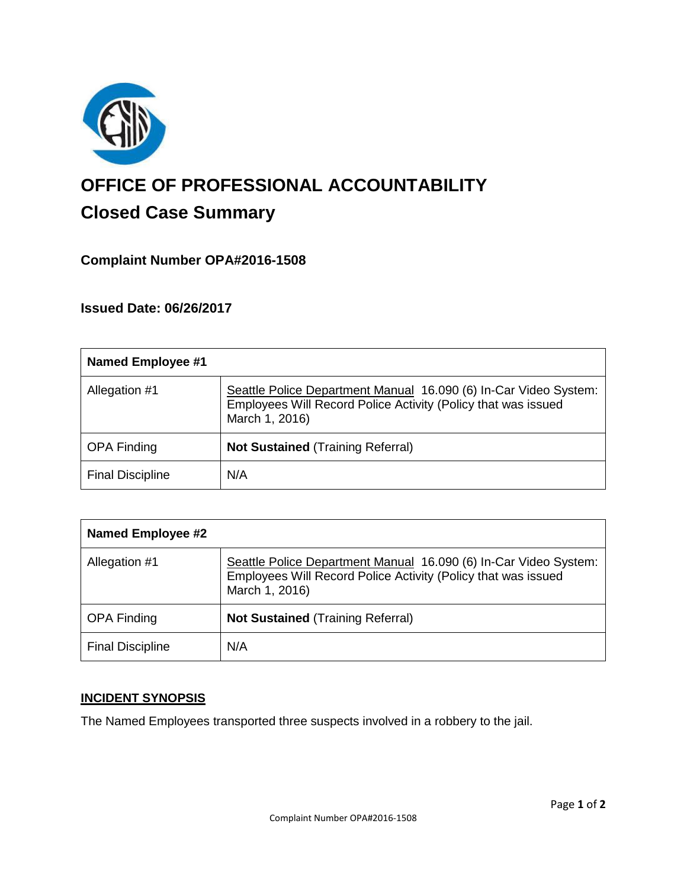

# **OFFICE OF PROFESSIONAL ACCOUNTABILITY Closed Case Summary**

## **Complaint Number OPA#2016-1508**

**Issued Date: 06/26/2017**

| <b>Named Employee #1</b> |                                                                                                                                                     |
|--------------------------|-----------------------------------------------------------------------------------------------------------------------------------------------------|
| Allegation #1            | Seattle Police Department Manual 16.090 (6) In-Car Video System:<br>Employees Will Record Police Activity (Policy that was issued<br>March 1, 2016) |
| <b>OPA Finding</b>       | <b>Not Sustained (Training Referral)</b>                                                                                                            |
| <b>Final Discipline</b>  | N/A                                                                                                                                                 |

| <b>Named Employee #2</b> |                                                                                                                                                     |
|--------------------------|-----------------------------------------------------------------------------------------------------------------------------------------------------|
| Allegation #1            | Seattle Police Department Manual 16.090 (6) In-Car Video System:<br>Employees Will Record Police Activity (Policy that was issued<br>March 1, 2016) |
| <b>OPA Finding</b>       | <b>Not Sustained (Training Referral)</b>                                                                                                            |
| <b>Final Discipline</b>  | N/A                                                                                                                                                 |

### **INCIDENT SYNOPSIS**

The Named Employees transported three suspects involved in a robbery to the jail.